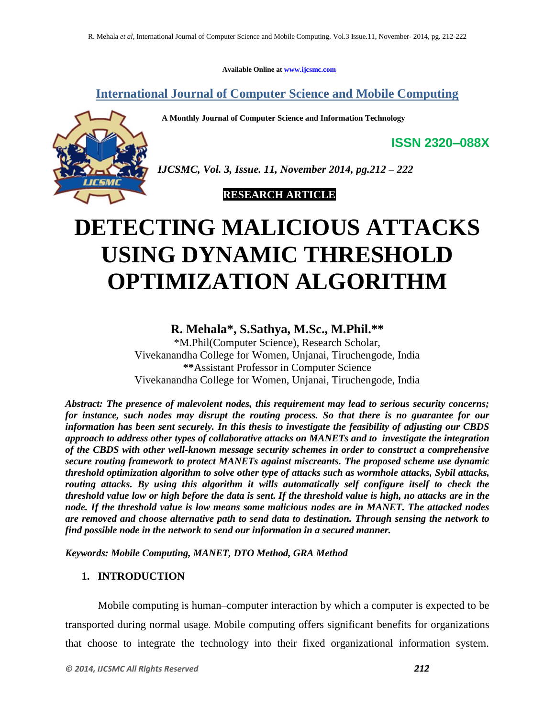**Available Online at [www.ijcsmc.com](http://www.ijcsmc.com/)**

**International Journal of Computer Science and Mobile Computing**

 **A Monthly Journal of Computer Science and Information Technology**



*IJCSMC, Vol. 3, Issue. 11, November 2014, pg.212 – 222*

 **RESEARCH ARTICLE**

# **DETECTING MALICIOUS ATTACKS USING DYNAMIC THRESHOLD OPTIMIZATION ALGORITHM**

## **R. Mehala\* , S.Sathya, M.Sc., M.Phil.\*\***

\*M.Phil(Computer Science), Research Scholar, Vivekanandha College for Women, Unjanai, Tiruchengode, India **\*\***Assistant Professor in Computer Science Vivekanandha College for Women, Unjanai, Tiruchengode, India

*Abstract: The presence of malevolent nodes, this requirement may lead to serious security concerns; for instance, such nodes may disrupt the routing process. So that there is no guarantee for our information has been sent securely. In this thesis to investigate the feasibility of adjusting our CBDS approach to address other types of collaborative attacks on MANETs and to investigate the integration of the CBDS with other well-known message security schemes in order to construct a comprehensive secure routing framework to protect MANETs against miscreants. The proposed scheme use dynamic threshold optimization algorithm to solve other type of attacks such as wormhole attacks, Sybil attacks, routing attacks. By using this algorithm it wills automatically self configure itself to check the threshold value low or high before the data is sent. If the threshold value is high, no attacks are in the node. If the threshold value is low means some malicious nodes are in MANET. The attacked nodes are removed and choose alternative path to send data to destination. Through sensing the network to find possible node in the network to send our information in a secured manner.*

*Keywords: Mobile Computing, MANET, DTO Method, GRA Method*

## **1. INTRODUCTION**

Mobile computing is human–computer interaction by which a computer is expected to be transported during normal usage. Mobile computing offers significant benefits for organizations that choose to integrate the technology into their fixed organizational information system.

**ISSN 2320–088X**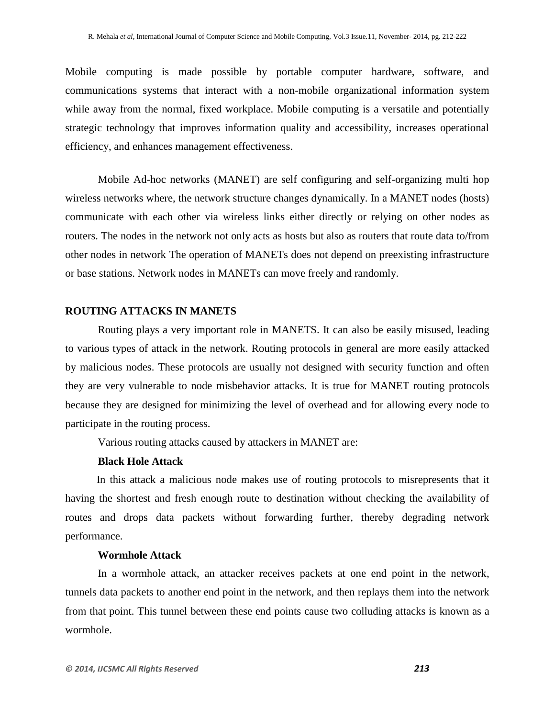Mobile computing is made possible by portable computer hardware, software, and communications systems that interact with a non-mobile organizational information system while away from the normal, fixed workplace. Mobile computing is a versatile and potentially strategic technology that improves information quality and accessibility, increases operational efficiency, and enhances management effectiveness.

Mobile Ad-hoc networks (MANET) are self configuring and self-organizing multi hop wireless networks where, the network structure changes dynamically. In a MANET nodes (hosts) communicate with each other via wireless links either directly or relying on other nodes as routers. The nodes in the network not only acts as hosts but also as routers that route data to/from other nodes in network The operation of MANETs does not depend on preexisting infrastructure or base stations. Network nodes in MANETs can move freely and randomly.

#### **ROUTING ATTACKS IN MANETS**

Routing plays a very important role in MANETS. It can also be easily misused, leading to various types of attack in the network. Routing protocols in general are more easily attacked by malicious nodes. These protocols are usually not designed with security function and often they are very vulnerable to node misbehavior attacks. It is true for MANET routing protocols because they are designed for minimizing the level of overhead and for allowing every node to participate in the routing process.

Various routing attacks caused by attackers in MANET are:

#### **Black Hole Attack**

In this attack a malicious node makes use of routing protocols to misrepresents that it having the shortest and fresh enough route to destination without checking the availability of routes and drops data packets without forwarding further, thereby degrading network performance.

#### **Wormhole Attack**

In a wormhole attack, an attacker receives packets at one end point in the network, tunnels data packets to another end point in the network, and then replays them into the network from that point. This tunnel between these end points cause two colluding attacks is known as a wormhole.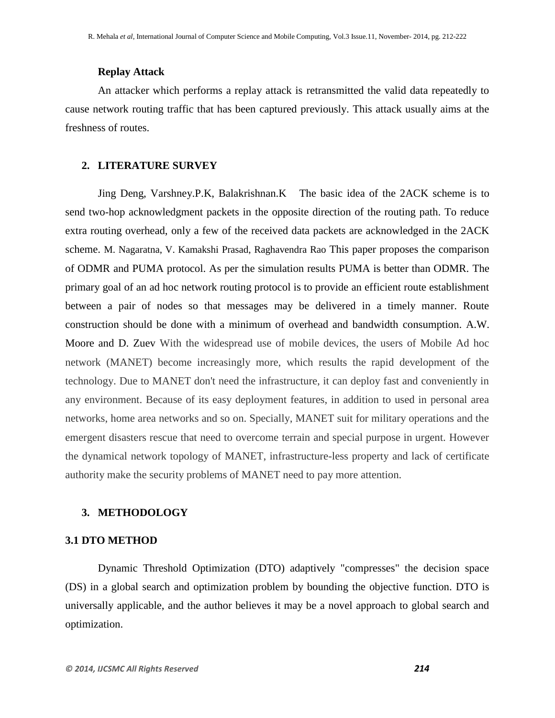## **Replay Attack**

An attacker which performs a replay attack is retransmitted the valid data repeatedly to cause network routing traffic that has been captured previously. This attack usually aims at the freshness of routes.

#### **2. LITERATURE SURVEY**

Jing Deng, Varshney.P.K, Balakrishnan.K The basic idea of the 2ACK scheme is to send two-hop acknowledgment packets in the opposite direction of the routing path. To reduce extra routing overhead, only a few of the received data packets are acknowledged in the 2ACK scheme. M. Nagaratna, V. Kamakshi Prasad, Raghavendra Rao This paper proposes the comparison of ODMR and PUMA protocol. As per the simulation results PUMA is better than ODMR. The primary goal of an ad hoc network routing protocol is to provide an efficient route establishment between a pair of nodes so that messages may be delivered in a timely manner. Route construction should be done with a minimum of overhead and bandwidth consumption. A.W. Moore and D. Zuev With the widespread use of mobile devices, the users of Mobile Ad hoc network (MANET) become increasingly more, which results the rapid development of the technology. Due to MANET don't need the infrastructure, it can deploy fast and conveniently in any environment. Because of its easy deployment features, in addition to used in personal area networks, home area networks and so on. Specially, MANET suit for military operations and the emergent disasters rescue that need to overcome terrain and special purpose in urgent. However the dynamical network topology of MANET, infrastructure-less property and lack of certificate authority make the security problems of MANET need to pay more attention.

#### **3. METHODOLOGY**

#### **3.1 DTO METHOD**

Dynamic Threshold Optimization (DTO) adaptively "compresses" the decision space (DS) in a global search and optimization problem by bounding the objective function. DTO is universally applicable, and the author believes it may be a novel approach to global search and optimization.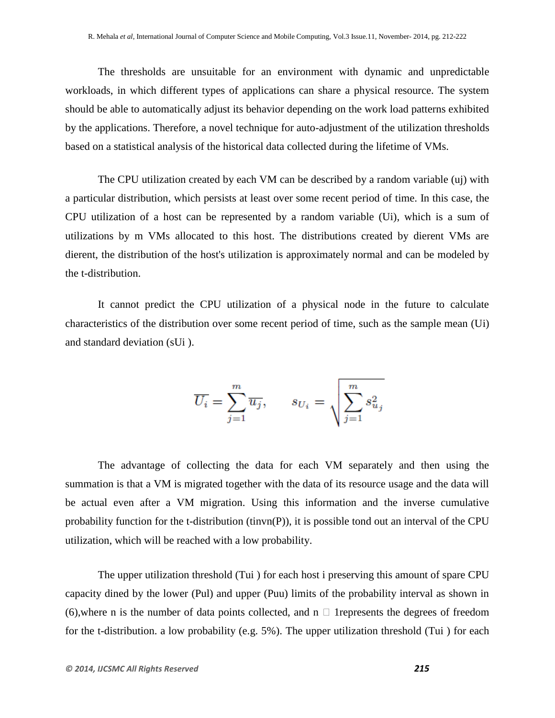The thresholds are unsuitable for an environment with dynamic and unpredictable workloads, in which different types of applications can share a physical resource. The system should be able to automatically adjust its behavior depending on the work load patterns exhibited by the applications. Therefore, a novel technique for auto-adjustment of the utilization thresholds based on a statistical analysis of the historical data collected during the lifetime of VMs.

The CPU utilization created by each VM can be described by a random variable (uj) with a particular distribution, which persists at least over some recent period of time. In this case, the CPU utilization of a host can be represented by a random variable (Ui), which is a sum of utilizations by m VMs allocated to this host. The distributions created by dierent VMs are dierent, the distribution of the host's utilization is approximately normal and can be modeled by the t-distribution.

It cannot predict the CPU utilization of a physical node in the future to calculate characteristics of the distribution over some recent period of time, such as the sample mean (Ui) and standard deviation (sUi ).

$$
\overline{U_i} = \sum_{j=1}^m \overline{u_j}, \qquad s_{U_i} = \sqrt{\sum_{j=1}^m s_{u_j}^2}
$$

The advantage of collecting the data for each VM separately and then using the summation is that a VM is migrated together with the data of its resource usage and the data will be actual even after a VM migration. Using this information and the inverse cumulative probability function for the t-distribution (tinvn(P)), it is possible tond out an interval of the CPU utilization, which will be reached with a low probability.

The upper utilization threshold (Tui ) for each host i preserving this amount of spare CPU capacity dined by the lower (Pul) and upper (Puu) limits of the probability interval as shown in (6), where n is the number of data points collected, and  $n \square$  1 represents the degrees of freedom for the t-distribution. a low probability (e.g. 5%). The upper utilization threshold (Tui ) for each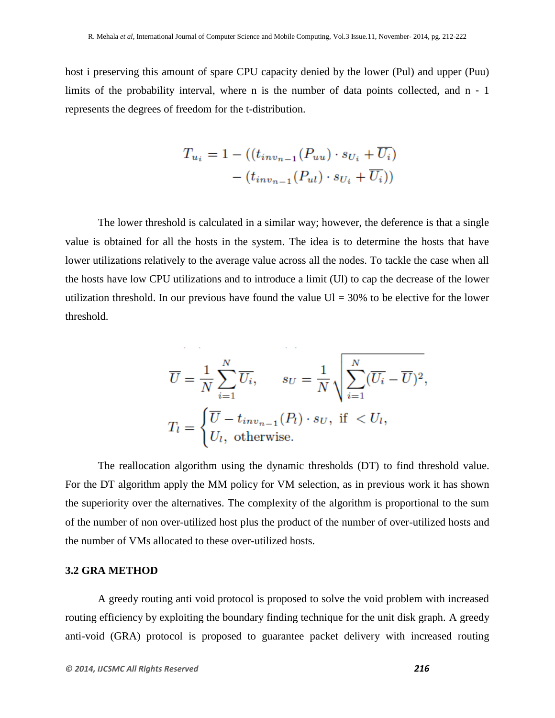host i preserving this amount of spare CPU capacity denied by the lower (Pul) and upper (Puu) limits of the probability interval, where n is the number of data points collected, and n - 1 represents the degrees of freedom for the t-distribution.

$$
T_{u_i} = 1 - ((t_{inv_{n-1}}(P_{uu}) \cdot s_{U_i} + \overline{U_i})
$$

$$
- (t_{inv_{n-1}}(P_{ul}) \cdot s_{U_i} + \overline{U_i}))
$$

The lower threshold is calculated in a similar way; however, the deference is that a single value is obtained for all the hosts in the system. The idea is to determine the hosts that have lower utilizations relatively to the average value across all the nodes. To tackle the case when all the hosts have low CPU utilizations and to introduce a limit (Ul) to cap the decrease of the lower utilization threshold. In our previous have found the value  $UI = 30\%$  to be elective for the lower threshold.

$$
\overline{U} = \frac{1}{N} \sum_{i=1}^{N} \overline{U_i}, \qquad s_U = \frac{1}{N} \sqrt{\sum_{i=1}^{N} (\overline{U_i} - \overline{U})^2},
$$

$$
T_l = \begin{cases} \overline{U} - t_{inv_{n-1}}(P_l) \cdot s_U, & \text{if } < U_l, \\ U_l, & \text{otherwise.} \end{cases}
$$

The reallocation algorithm using the dynamic thresholds (DT) to find threshold value. For the DT algorithm apply the MM policy for VM selection, as in previous work it has shown the superiority over the alternatives. The complexity of the algorithm is proportional to the sum of the number of non over-utilized host plus the product of the number of over-utilized hosts and the number of VMs allocated to these over-utilized hosts.

#### **3.2 GRA METHOD**

A greedy routing anti void protocol is proposed to solve the void problem with increased routing efficiency by exploiting the boundary finding technique for the unit disk graph. A greedy anti-void (GRA) protocol is proposed to guarantee packet delivery with increased routing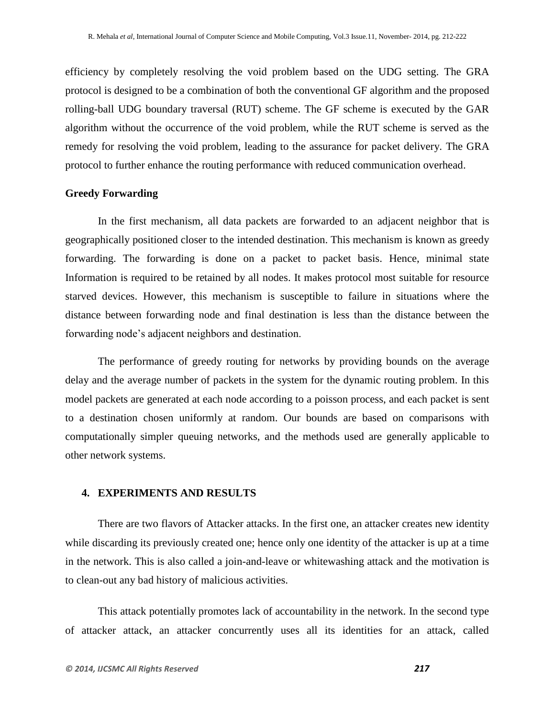efficiency by completely resolving the void problem based on the UDG setting. The GRA protocol is designed to be a combination of both the conventional GF algorithm and the proposed rolling-ball UDG boundary traversal (RUT) scheme. The GF scheme is executed by the GAR algorithm without the occurrence of the void problem, while the RUT scheme is served as the remedy for resolving the void problem, leading to the assurance for packet delivery. The GRA protocol to further enhance the routing performance with reduced communication overhead.

#### **Greedy Forwarding**

In the first mechanism, all data packets are forwarded to an adjacent neighbor that is geographically positioned closer to the intended destination. This mechanism is known as greedy forwarding. The forwarding is done on a packet to packet basis. Hence, minimal state Information is required to be retained by all nodes. It makes protocol most suitable for resource starved devices. However, this mechanism is susceptible to failure in situations where the distance between forwarding node and final destination is less than the distance between the forwarding node's adjacent neighbors and destination.

The performance of greedy routing for networks by providing bounds on the average delay and the average number of packets in the system for the dynamic routing problem. In this model packets are generated at each node according to a poisson process, and each packet is sent to a destination chosen uniformly at random. Our bounds are based on comparisons with computationally simpler queuing networks, and the methods used are generally applicable to other network systems.

#### **4. EXPERIMENTS AND RESULTS**

There are two flavors of Attacker attacks. In the first one, an attacker creates new identity while discarding its previously created one; hence only one identity of the attacker is up at a time in the network. This is also called a join-and-leave or whitewashing attack and the motivation is to clean-out any bad history of malicious activities.

This attack potentially promotes lack of accountability in the network. In the second type of attacker attack, an attacker concurrently uses all its identities for an attack, called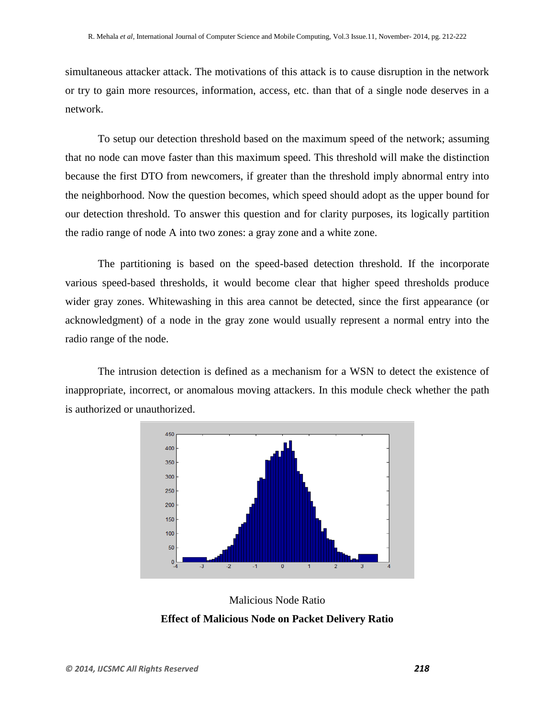simultaneous attacker attack. The motivations of this attack is to cause disruption in the network or try to gain more resources, information, access, etc. than that of a single node deserves in a network.

To setup our detection threshold based on the maximum speed of the network; assuming that no node can move faster than this maximum speed. This threshold will make the distinction because the first DTO from newcomers, if greater than the threshold imply abnormal entry into the neighborhood. Now the question becomes, which speed should adopt as the upper bound for our detection threshold. To answer this question and for clarity purposes, its logically partition the radio range of node A into two zones: a gray zone and a white zone.

The partitioning is based on the speed-based detection threshold. If the incorporate various speed-based thresholds, it would become clear that higher speed thresholds produce wider gray zones. Whitewashing in this area cannot be detected, since the first appearance (or acknowledgment) of a node in the gray zone would usually represent a normal entry into the radio range of the node.

The intrusion detection is defined as a mechanism for a WSN to detect the existence of inappropriate, incorrect, or anomalous moving attackers. In this module check whether the path is authorized or unauthorized.



Malicious Node Ratio **Effect of Malicious Node on Packet Delivery Ratio**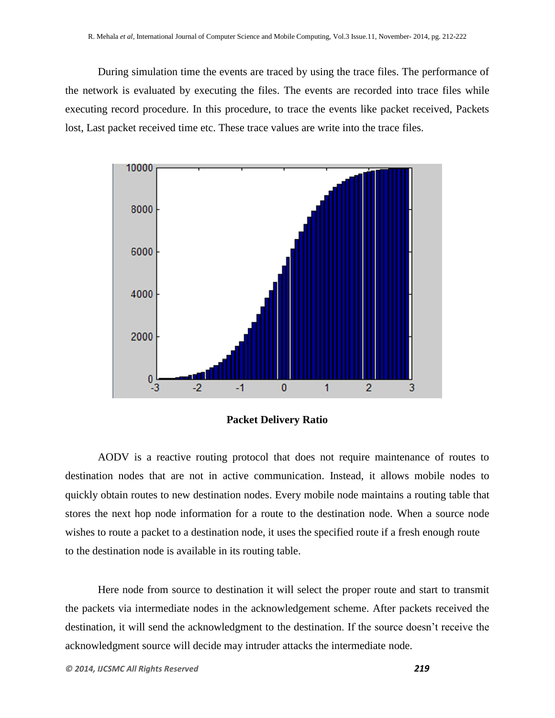During simulation time the events are traced by using the trace files. The performance of the network is evaluated by executing the files. The events are recorded into trace files while executing record procedure. In this procedure, to trace the events like packet received, Packets lost, Last packet received time etc. These trace values are write into the trace files.



#### **Packet Delivery Ratio**

AODV is a reactive routing protocol that does not require maintenance of routes to destination nodes that are not in active communication. Instead, it allows mobile nodes to quickly obtain routes to new destination nodes. Every mobile node maintains a routing table that stores the next hop node information for a route to the destination node. When a source node wishes to route a packet to a destination node, it uses the specified route if a fresh enough route to the destination node is available in its routing table.

Here node from source to destination it will select the proper route and start to transmit the packets via intermediate nodes in the acknowledgement scheme. After packets received the destination, it will send the acknowledgment to the destination. If the source doesn't receive the acknowledgment source will decide may intruder attacks the intermediate node.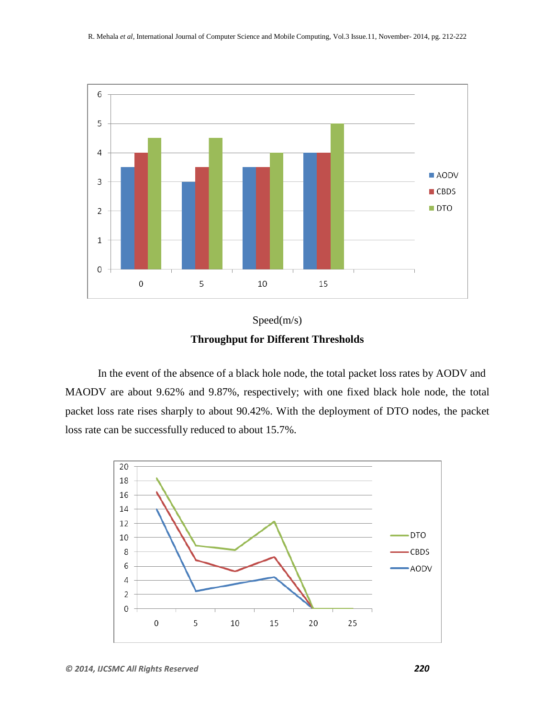



In the event of the absence of a black hole node, the total packet loss rates by AODV and MAODV are about 9.62% and 9.87%, respectively; with one fixed black hole node, the total packet loss rate rises sharply to about 90.42%. With the deployment of DTO nodes, the packet loss rate can be successfully reduced to about 15.7%.

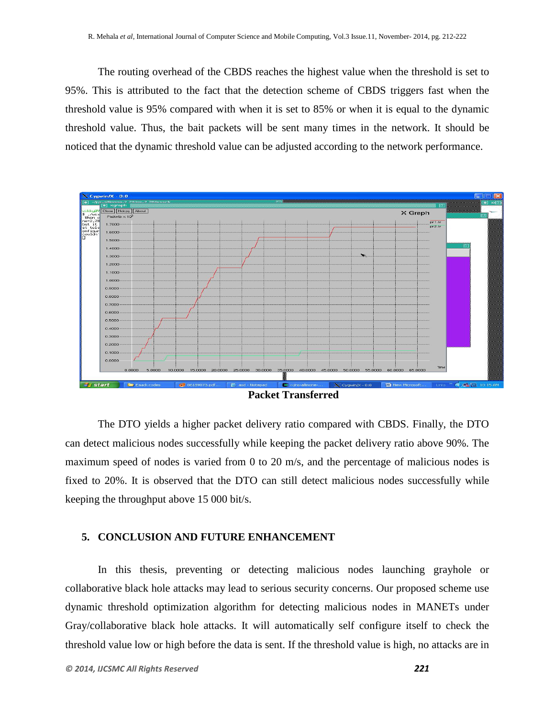The routing overhead of the CBDS reaches the highest value when the threshold is set to 95%. This is attributed to the fact that the detection scheme of CBDS triggers fast when the threshold value is 95% compared with when it is set to 85% or when it is equal to the dynamic threshold value. Thus, the bait packets will be sent many times in the network. It should be noticed that the dynamic threshold value can be adjusted according to the network performance.



**Packet Transferred**

The DTO yields a higher packet delivery ratio compared with CBDS. Finally, the DTO can detect malicious nodes successfully while keeping the packet delivery ratio above 90%. The maximum speed of nodes is varied from 0 to 20 m/s, and the percentage of malicious nodes is fixed to 20%. It is observed that the DTO can still detect malicious nodes successfully while keeping the throughput above 15 000 bit/s.

#### **5. CONCLUSION AND FUTURE ENHANCEMENT**

In this thesis, preventing or detecting malicious nodes launching grayhole or collaborative black hole attacks may lead to serious security concerns. Our proposed scheme use dynamic threshold optimization algorithm for detecting malicious nodes in MANETs under Gray/collaborative black hole attacks. It will automatically self configure itself to check the threshold value low or high before the data is sent. If the threshold value is high, no attacks are in